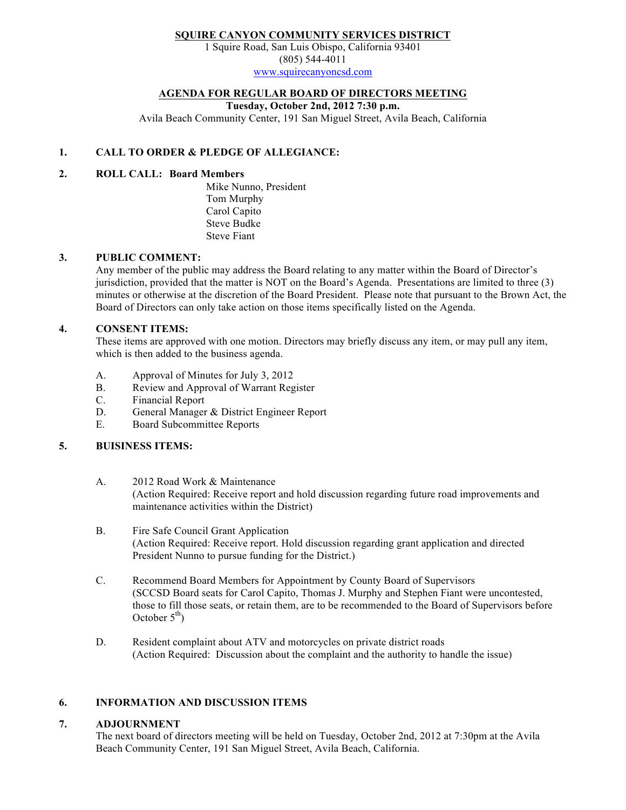# SQUIRE CANYON COMMUNITY SERVICES DISTRICT

1 Squire Road, San Luis Obispo, California 93401 (805) 544-4011 www.squirecanyoncsd.com

## AGENDA FOR REGULAR BOARD OF DIRECTORS MEETING

Tuesday, October 2nd, 2012 7:30 p.m.

Avila Beach Community Center, 191 San Miguel Street, Avila Beach, California

# 1. CALL TO ORDER & PLEDGE OF ALLEGIANCE:

## 2. ROLL CALL: Board Members

Mike Nunno, President Tom Murphy Carol Capito Steve Budke Steve Fiant

#### 3. PUBLIC COMMENT:

Any member of the public may address the Board relating to any matter within the Board of Director's jurisdiction, provided that the matter is NOT on the Board's Agenda. Presentations are limited to three (3) minutes or otherwise at the discretion of the Board President. Please note that pursuant to the Brown Act, the Board of Directors can only take action on those items specifically listed on the Agenda.

## 4. CONSENT ITEMS:

These items are approved with one motion. Directors may briefly discuss any item, or may pull any item, which is then added to the business agenda.

- A. Approval of Minutes for July 3, 2012
- B. Review and Approval of Warrant Register
- C. Financial Report
- D. General Manager & District Engineer Report
- E. Board Subcommittee Reports

## 5. BUISINESS ITEMS:

- A. 2012 Road Work & Maintenance (Action Required: Receive report and hold discussion regarding future road improvements and maintenance activities within the District)
- B. Fire Safe Council Grant Application (Action Required: Receive report. Hold discussion regarding grant application and directed President Nunno to pursue funding for the District.)
- C. Recommend Board Members for Appointment by County Board of Supervisors (SCCSD Board seats for Carol Capito, Thomas J. Murphy and Stephen Fiant were uncontested, those to fill those seats, or retain them, are to be recommended to the Board of Supervisors before October  $5<sup>th</sup>$ )
- D. Resident complaint about ATV and motorcycles on private district roads (Action Required: Discussion about the complaint and the authority to handle the issue)

#### 6. INFORMATION AND DISCUSSION ITEMS

## 7. ADJOURNMENT

The next board of directors meeting will be held on Tuesday, October 2nd, 2012 at 7:30pm at the Avila Beach Community Center, 191 San Miguel Street, Avila Beach, California.